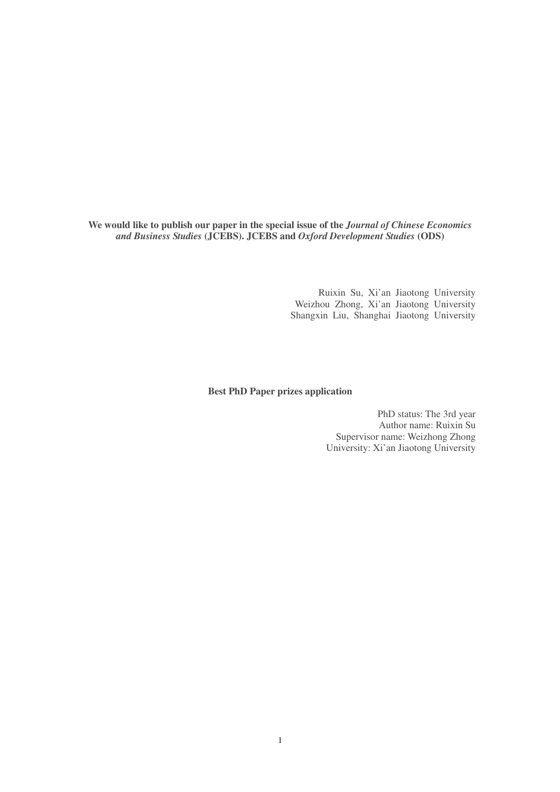**We would like to publish our paper in the special issue of the** *Journal of Chinese Economics and Business Studies* **(JCEBS). JCEBS and** *Oxford Development Studies* **(ODS)**

> Ruixin Su, Xi'an Jiaotong University Weizhou Zhong, Xi'an Jiaotong University Shangxin Liu, Shanghai Jiaotong University

#### **Best PhD Paper prizes application**

PhD status: The 3rd year Author name: Ruixin Su Supervisor name: Weizhong Zhong University: Xi'an Jiaotong University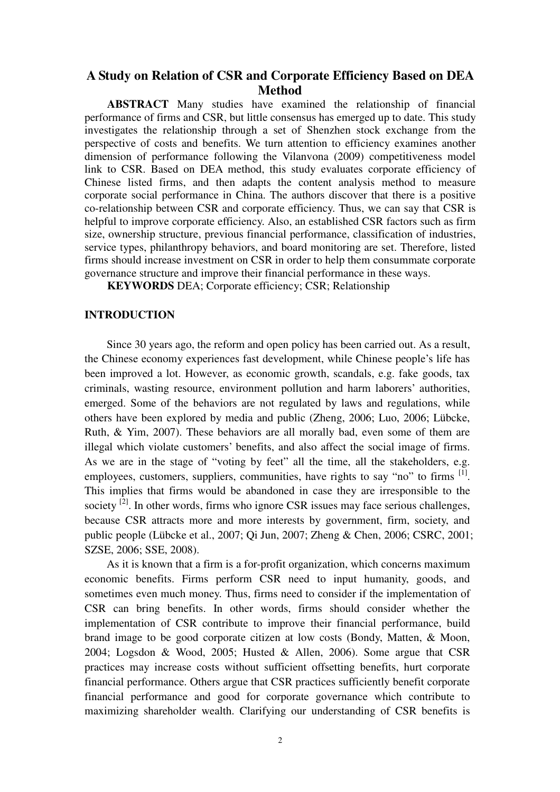# **A Study on Relation of CSR and Corporate Efficiency Based on DEA Method**

 **ABSTRACT** Many studies have examined the relationship of financial performance of firms and CSR, but little consensus has emerged up to date. This study investigates the relationship through a set of Shenzhen stock exchange from the perspective of costs and benefits. We turn attention to efficiency examines another dimension of performance following the Vilanvona (2009) competitiveness model link to CSR. Based on DEA method, this study evaluates corporate efficiency of Chinese listed firms, and then adapts the content analysis method to measure corporate social performance in China. The authors discover that there is a positive co-relationship between CSR and corporate efficiency. Thus, we can say that CSR is helpful to improve corporate efficiency. Also, an established CSR factors such as firm size, ownership structure, previous financial performance, classification of industries, service types, philanthropy behaviors, and board monitoring are set. Therefore, listed firms should increase investment on CSR in order to help them consummate corporate governance structure and improve their financial performance in these ways.

**KEYWORDS** DEA; Corporate efficiency; CSR; Relationship

## **INTRODUCTION**

Since 30 years ago, the reform and open policy has been carried out. As a result, the Chinese economy experiences fast development, while Chinese people's life has been improved a lot. However, as economic growth, scandals, e.g. fake goods, tax criminals, wasting resource, environment pollution and harm laborers' authorities, emerged. Some of the behaviors are not regulated by laws and regulations, while others have been explored by media and public (Zheng, 2006; Luo, 2006; Lübcke, Ruth, & Yim, 2007). These behaviors are all morally bad, even some of them are illegal which violate customers' benefits, and also affect the social image of firms. As we are in the stage of "voting by feet" all the time, all the stakeholders, e.g. employees, customers, suppliers, communities, have rights to say "no" to firms <sup>[1]</sup>. This implies that firms would be abandoned in case they are irresponsible to the society  $^{[2]}$ . In other words, firms who ignore CSR issues may face serious challenges, because CSR attracts more and more interests by government, firm, society, and public people (Lübcke et al., 2007; Qi Jun, 2007; Zheng & Chen, 2006; CSRC, 2001; SZSE, 2006; SSE, 2008).

As it is known that a firm is a for-profit organization, which concerns maximum economic benefits. Firms perform CSR need to input humanity, goods, and sometimes even much money. Thus, firms need to consider if the implementation of CSR can bring benefits. In other words, firms should consider whether the implementation of CSR contribute to improve their financial performance, build brand image to be good corporate citizen at low costs (Bondy, Matten, & Moon, 2004; Logsdon & Wood, 2005; Husted & Allen, 2006). Some argue that CSR practices may increase costs without sufficient offsetting benefits, hurt corporate financial performance. Others argue that CSR practices sufficiently benefit corporate financial performance and good for corporate governance which contribute to maximizing shareholder wealth. Clarifying our understanding of CSR benefits is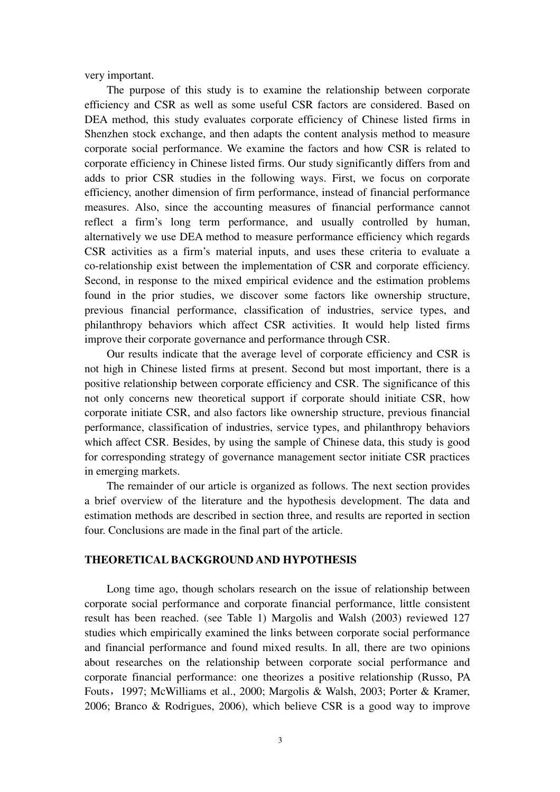very important.

The purpose of this study is to examine the relationship between corporate efficiency and CSR as well as some useful CSR factors are considered. Based on DEA method, this study evaluates corporate efficiency of Chinese listed firms in Shenzhen stock exchange, and then adapts the content analysis method to measure corporate social performance. We examine the factors and how CSR is related to corporate efficiency in Chinese listed firms. Our study significantly differs from and adds to prior CSR studies in the following ways. First, we focus on corporate efficiency, another dimension of firm performance, instead of financial performance measures. Also, since the accounting measures of financial performance cannot reflect a firm's long term performance, and usually controlled by human, alternatively we use DEA method to measure performance efficiency which regards CSR activities as a firm's material inputs, and uses these criteria to evaluate a co-relationship exist between the implementation of CSR and corporate efficiency. Second, in response to the mixed empirical evidence and the estimation problems found in the prior studies, we discover some factors like ownership structure, previous financial performance, classification of industries, service types, and philanthropy behaviors which affect CSR activities. It would help listed firms improve their corporate governance and performance through CSR.

Our results indicate that the average level of corporate efficiency and CSR is not high in Chinese listed firms at present. Second but most important, there is a positive relationship between corporate efficiency and CSR. The significance of this not only concerns new theoretical support if corporate should initiate CSR, how corporate initiate CSR, and also factors like ownership structure, previous financial performance, classification of industries, service types, and philanthropy behaviors which affect CSR. Besides, by using the sample of Chinese data, this study is good for corresponding strategy of governance management sector initiate CSR practices in emerging markets.

The remainder of our article is organized as follows. The next section provides a brief overview of the literature and the hypothesis development. The data and estimation methods are described in section three, and results are reported in section four. Conclusions are made in the final part of the article.

### **THEORETICAL BACKGROUND AND HYPOTHESIS**

Long time ago, though scholars research on the issue of relationship between corporate social performance and corporate financial performance, little consistent result has been reached. (see Table 1) Margolis and Walsh (2003) reviewed 127 studies which empirically examined the links between corporate social performance and financial performance and found mixed results. In all, there are two opinions about researches on the relationship between corporate social performance and corporate financial performance: one theorizes a positive relationship (Russo, PA Fouts,1997; McWilliams et al., 2000; Margolis & Walsh, 2003; Porter & Kramer, 2006; Branco & Rodrigues, 2006), which believe CSR is a good way to improve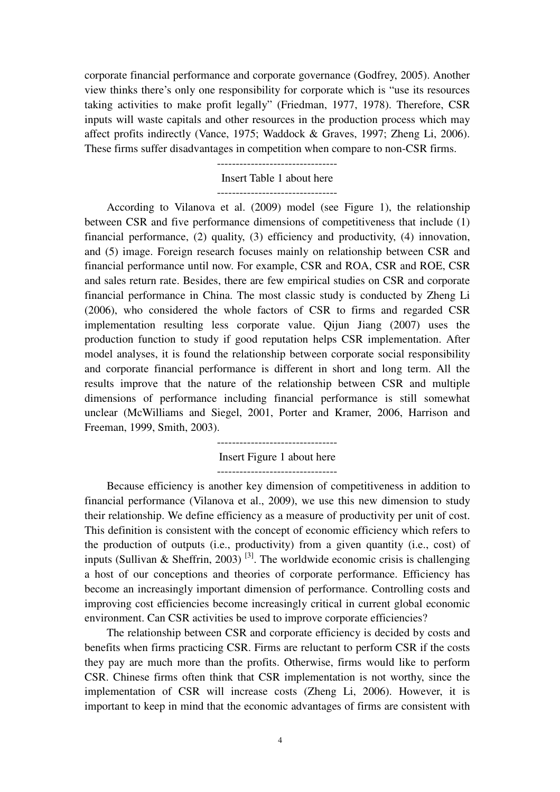corporate financial performance and corporate governance (Godfrey, 2005). Another view thinks there's only one responsibility for corporate which is "use its resources taking activities to make profit legally" (Friedman, 1977, 1978). Therefore, CSR inputs will waste capitals and other resources in the production process which may affect profits indirectly (Vance, 1975; Waddock & Graves, 1997; Zheng Li, 2006). These firms suffer disadvantages in competition when compare to non-CSR firms.

#### Insert Table 1 about here --------------------------------

According to Vilanova et al. (2009) model (see Figure 1), the relationship between CSR and five performance dimensions of competitiveness that include (1) financial performance, (2) quality, (3) efficiency and productivity, (4) innovation, and (5) image. Foreign research focuses mainly on relationship between CSR and financial performance until now. For example, CSR and ROA, CSR and ROE, CSR and sales return rate. Besides, there are few empirical studies on CSR and corporate financial performance in China. The most classic study is conducted by Zheng Li (2006), who considered the whole factors of CSR to firms and regarded CSR implementation resulting less corporate value. Qijun Jiang (2007) uses the production function to study if good reputation helps CSR implementation. After model analyses, it is found the relationship between corporate social responsibility and corporate financial performance is different in short and long term. All the results improve that the nature of the relationship between CSR and multiple dimensions of performance including financial performance is still somewhat unclear (McWilliams and Siegel, 2001, Porter and Kramer, 2006, Harrison and Freeman, 1999, Smith, 2003).

> -------------------------------- Insert Figure 1 about here

Because efficiency is another key dimension of competitiveness in addition to financial performance (Vilanova et al., 2009), we use this new dimension to study their relationship. We define efficiency as a measure of productivity per unit of cost. This definition is consistent with the concept of economic efficiency which refers to the production of outputs (i.e., productivity) from a given quantity (i.e., cost) of inputs (Sullivan & Sheffrin, 2003)<sup>[3]</sup>. The worldwide economic crisis is challenging a host of our conceptions and theories of corporate performance. Efficiency has become an increasingly important dimension of performance. Controlling costs and improving cost efficiencies become increasingly critical in current global economic environment. Can CSR activities be used to improve corporate efficiencies?

The relationship between CSR and corporate efficiency is decided by costs and benefits when firms practicing CSR. Firms are reluctant to perform CSR if the costs they pay are much more than the profits. Otherwise, firms would like to perform CSR. Chinese firms often think that CSR implementation is not worthy, since the implementation of CSR will increase costs (Zheng Li, 2006). However, it is important to keep in mind that the economic advantages of firms are consistent with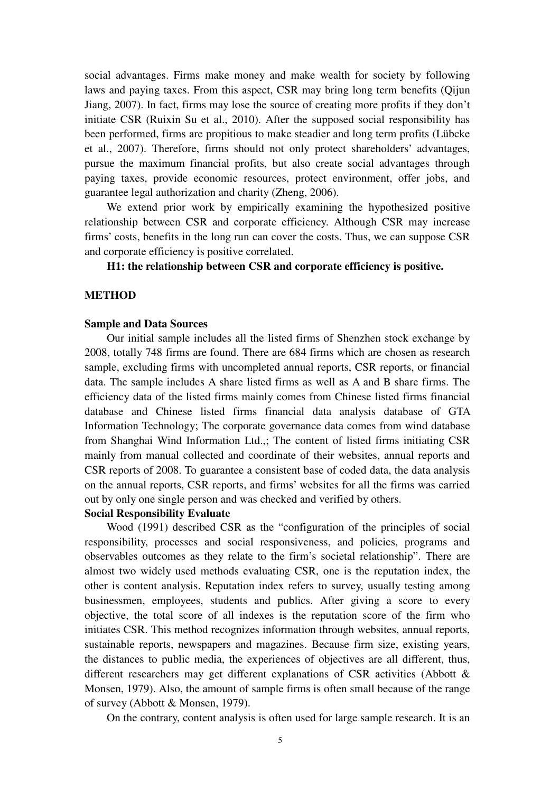social advantages. Firms make money and make wealth for society by following laws and paying taxes. From this aspect, CSR may bring long term benefits (Qijun Jiang, 2007). In fact, firms may lose the source of creating more profits if they don't initiate CSR (Ruixin Su et al., 2010). After the supposed social responsibility has been performed, firms are propitious to make steadier and long term profits (Lübcke et al., 2007). Therefore, firms should not only protect shareholders' advantages, pursue the maximum financial profits, but also create social advantages through paying taxes, provide economic resources, protect environment, offer jobs, and guarantee legal authorization and charity (Zheng, 2006).

We extend prior work by empirically examining the hypothesized positive relationship between CSR and corporate efficiency. Although CSR may increase firms' costs, benefits in the long run can cover the costs. Thus, we can suppose CSR and corporate efficiency is positive correlated.

# **H1: the relationship between CSR and corporate efficiency is positive.**

#### **METHOD**

## **Sample and Data Sources**

Our initial sample includes all the listed firms of Shenzhen stock exchange by 2008, totally 748 firms are found. There are 684 firms which are chosen as research sample, excluding firms with uncompleted annual reports, CSR reports, or financial data. The sample includes A share listed firms as well as A and B share firms. The efficiency data of the listed firms mainly comes from Chinese listed firms financial database and Chinese listed firms financial data analysis database of GTA Information Technology; The corporate governance data comes from wind database from Shanghai Wind Information Ltd.,; The content of listed firms initiating CSR mainly from manual collected and coordinate of their websites, annual reports and CSR reports of 2008. To guarantee a consistent base of coded data, the data analysis on the annual reports, CSR reports, and firms' websites for all the firms was carried out by only one single person and was checked and verified by others.

#### **Social Responsibility Evaluate**

Wood (1991) described CSR as the "configuration of the principles of social responsibility, processes and social responsiveness, and policies, programs and observables outcomes as they relate to the firm's societal relationship". There are almost two widely used methods evaluating CSR, one is the reputation index, the other is content analysis. Reputation index refers to survey, usually testing among businessmen, employees, students and publics. After giving a score to every objective, the total score of all indexes is the reputation score of the firm who initiates CSR. This method recognizes information through websites, annual reports, sustainable reports, newspapers and magazines. Because firm size, existing years, the distances to public media, the experiences of objectives are all different, thus, different researchers may get different explanations of CSR activities (Abbott & Monsen, 1979). Also, the amount of sample firms is often small because of the range of survey (Abbott & Monsen, 1979).

On the contrary, content analysis is often used for large sample research. It is an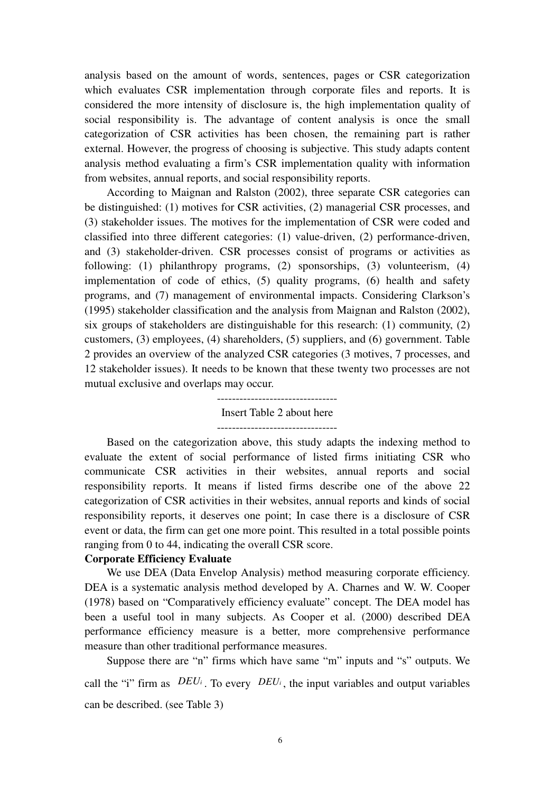analysis based on the amount of words, sentences, pages or CSR categorization which evaluates CSR implementation through corporate files and reports. It is considered the more intensity of disclosure is, the high implementation quality of social responsibility is. The advantage of content analysis is once the small categorization of CSR activities has been chosen, the remaining part is rather external. However, the progress of choosing is subjective. This study adapts content analysis method evaluating a firm's CSR implementation quality with information from websites, annual reports, and social responsibility reports.

According to Maignan and Ralston (2002), three separate CSR categories can be distinguished: (1) motives for CSR activities, (2) managerial CSR processes, and (3) stakeholder issues. The motives for the implementation of CSR were coded and classified into three different categories: (1) value-driven, (2) performance-driven, and (3) stakeholder-driven. CSR processes consist of programs or activities as following: (1) philanthropy programs, (2) sponsorships, (3) volunteerism, (4) implementation of code of ethics, (5) quality programs, (6) health and safety programs, and (7) management of environmental impacts. Considering Clarkson's (1995) stakeholder classification and the analysis from Maignan and Ralston (2002), six groups of stakeholders are distinguishable for this research: (1) community, (2) customers, (3) employees, (4) shareholders, (5) suppliers, and (6) government. Table 2 provides an overview of the analyzed CSR categories (3 motives, 7 processes, and 12 stakeholder issues). It needs to be known that these twenty two processes are not mutual exclusive and overlaps may occur.

# Insert Table 2 about here

Based on the categorization above, this study adapts the indexing method to evaluate the extent of social performance of listed firms initiating CSR who communicate CSR activities in their websites, annual reports and social responsibility reports. It means if listed firms describe one of the above 22 categorization of CSR activities in their websites, annual reports and kinds of social responsibility reports, it deserves one point; In case there is a disclosure of CSR event or data, the firm can get one more point. This resulted in a total possible points ranging from 0 to 44, indicating the overall CSR score.

### **Corporate Efficiency Evaluate**

We use DEA (Data Envelop Analysis) method measuring corporate efficiency. DEA is a systematic analysis method developed by A. Charnes and W. W. Cooper (1978) based on "Comparatively efficiency evaluate" concept. The DEA model has been a useful tool in many subjects. As Cooper et al. (2000) described DEA performance efficiency measure is a better, more comprehensive performance measure than other traditional performance measures.

Suppose there are "n" firms which have same "m" inputs and "s" outputs. We call the "i" firm as  $DEU_i$ . To every  $DEU_i$ , the input variables and output variables can be described. (see Table 3)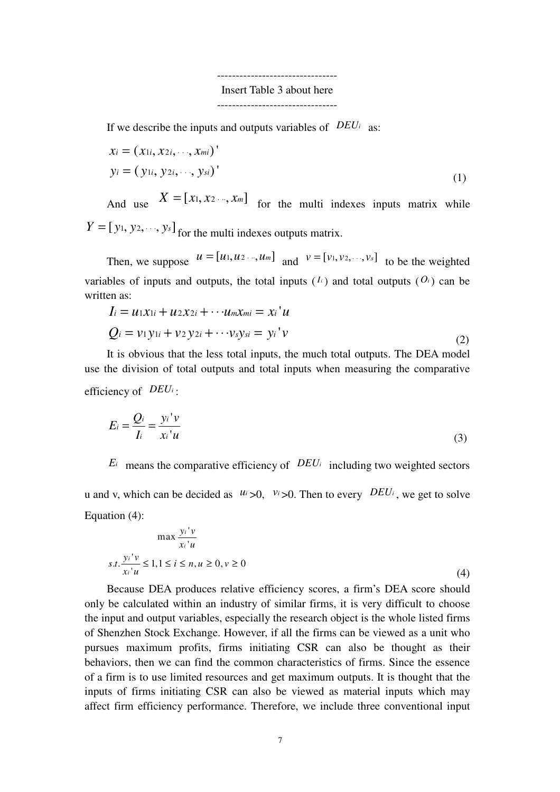--------------------------------

# Insert Table 3 about here

--------------------------------

If we describe the inputs and outputs variables of  $DEU_i$  as:

$$
x_i = (x_{1i}, x_{2i}, \dots, x_{mi})'
$$
  
\n
$$
y_i = (y_{1i}, y_{2i}, \dots, y_{si})'
$$
 (1)

And use  $X = [x_1, x_2, ..., x_m]$  for the multi indexes inputs matrix while  $Y = [y_1, y_2, \dots, y_s]$  for the multi indexes outputs matrix.

Then, we suppose  $u = [u_1, u_2, \dots, u_m]$  and  $v = [v_1, v_2, \dots, v_s]$  to be the weighted variables of inputs and outputs, the total inputs  $(I_i)$  and total outputs  $(O_i)$  can be written as:

$$
I_i = u_1x_{1i} + u_2x_{2i} + \cdots + u_mx_{mi} = x_i'u
$$
  
\n
$$
Q_i = v_1y_{1i} + v_2y_{2i} + \cdots + v_sy_{si} = y_i'v
$$
\n(2)

It is obvious that the less total inputs, the much total outputs. The DEA model use the division of total outputs and total inputs when measuring the comparative efficiency of  $DEU_i$ :

$$
E_i = \frac{Q_i}{I_i} = \frac{y_i'v}{x_i'u}
$$
\n(3)

 $E_i$  means the comparative efficiency of  $DEU_i$  including two weighted sectors u and v, which can be decided as  $u_i > 0$ ,  $v_i > 0$ . Then to every  $DEU_i$ , we get to solve Equation (4):

$$
\max \frac{y_i'v}{x_i'u}
$$
  
s.t. 
$$
\frac{y_i'v}{x_i'u} \le 1, 1 \le i \le n, u \ge 0, v \ge 0
$$
  
(4)

Because DEA produces relative efficiency scores, a firm's DEA score should only be calculated within an industry of similar firms, it is very difficult to choose the input and output variables, especially the research object is the whole listed firms of Shenzhen Stock Exchange. However, if all the firms can be viewed as a unit who pursues maximum profits, firms initiating CSR can also be thought as their behaviors, then we can find the common characteristics of firms. Since the essence of a firm is to use limited resources and get maximum outputs. It is thought that the inputs of firms initiating CSR can also be viewed as material inputs which may affect firm efficiency performance. Therefore, we include three conventional input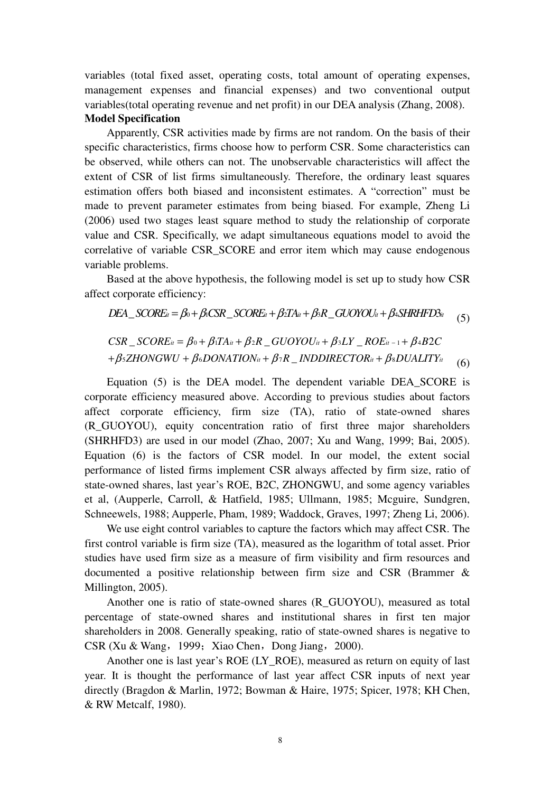variables (total fixed asset, operating costs, total amount of operating expenses, management expenses and financial expenses) and two conventional output variables(total operating revenue and net profit) in our DEA analysis (Zhang, 2008). **Model Specification** 

Apparently, CSR activities made by firms are not random. On the basis of their specific characteristics, firms choose how to perform CSR. Some characteristics can be observed, while others can not. The unobservable characteristics will affect the extent of CSR of list firms simultaneously. Therefore, the ordinary least squares estimation offers both biased and inconsistent estimates. A "correction" must be made to prevent parameter estimates from being biased. For example, Zheng Li (2006) used two stages least square method to study the relationship of corporate value and CSR. Specifically, we adapt simultaneous equations model to avoid the correlative of variable CSR\_SCORE and error item which may cause endogenous variable problems.

Based at the above hypothesis, the following model is set up to study how CSR affect corporate efficiency:

$$
DEA\_SCORE_{it} = \beta_0 + \beta_1CSR\_SCORE_{it} + \beta_2TA_{it} + \beta_3R\_GUOYOU_{it} + \beta_4SHRHPD3_{it}
$$
(5)

$$
CSR\_SCORE_{it} = \beta_0 + \beta_1 TA_{it} + \beta_2 R\_GUOYOU_{it} + \beta_3 LY\_ROE_{it-1} + \beta_4 B2C
$$
  
+ $\beta_5 ZHONGWU + \beta_6 DONATION_{it} + \beta_7 R\_INDDIRECTOR_{it} + \beta_8 DUALITY_{it}$  (6)

Equation (5) is the DEA model. The dependent variable DEA\_SCORE is corporate efficiency measured above. According to previous studies about factors affect corporate efficiency, firm size (TA), ratio of state-owned shares (R\_GUOYOU), equity concentration ratio of first three major shareholders (SHRHFD3) are used in our model (Zhao, 2007; Xu and Wang, 1999; Bai, 2005). Equation (6) is the factors of CSR model. In our model, the extent social performance of listed firms implement CSR always affected by firm size, ratio of state-owned shares, last year's ROE, B2C, ZHONGWU, and some agency variables et al, (Aupperle, Carroll, & Hatfield, 1985; Ullmann, 1985; Mcguire, Sundgren, Schneewels, 1988; Aupperle, Pham, 1989; Waddock, Graves, 1997; Zheng Li, 2006).

We use eight control variables to capture the factors which may affect CSR. The first control variable is firm size (TA), measured as the logarithm of total asset. Prior studies have used firm size as a measure of firm visibility and firm resources and documented a positive relationship between firm size and CSR (Brammer & Millington, 2005).

Another one is ratio of state-owned shares (R\_GUOYOU), measured as total percentage of state-owned shares and institutional shares in first ten major shareholders in 2008. Generally speaking, ratio of state-owned shares is negative to  $CSR$  (Xu & Wang, 1999; Xiao Chen, Dong Jiang, 2000).

Another one is last year's ROE (LY\_ROE), measured as return on equity of last year. It is thought the performance of last year affect CSR inputs of next year directly (Bragdon & Marlin, 1972; Bowman & Haire, 1975; Spicer, 1978; KH Chen, & RW Metcalf, 1980).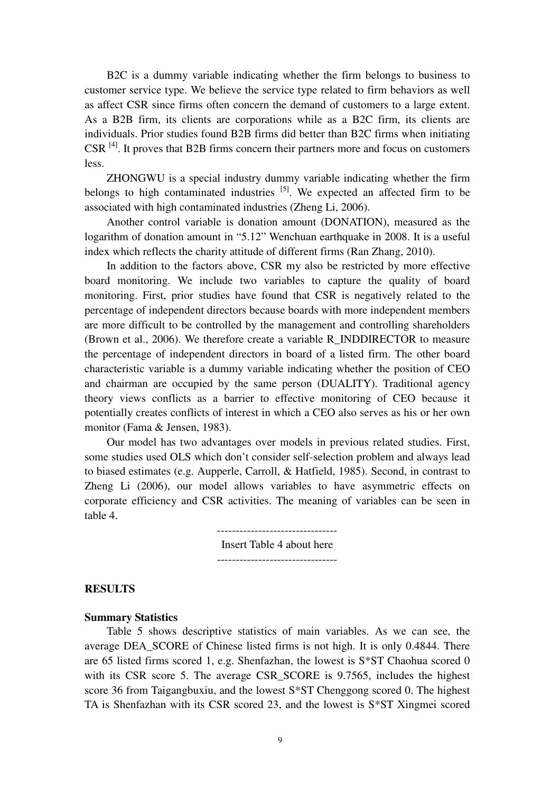B2C is a dummy variable indicating whether the firm belongs to business to customer service type. We believe the service type related to firm behaviors as well as affect CSR since firms often concern the demand of customers to a large extent. As a B2B firm, its clients are corporations while as a B2C firm, its clients are individuals. Prior studies found B2B firms did better than B2C firms when initiating  $CSR<sup>[4]</sup>$ . It proves that B2B firms concern their partners more and focus on customers less.

ZHONGWU is a special industry dummy variable indicating whether the firm belongs to high contaminated industries  $[5]$ . We expected an affected firm to be associated with high contaminated industries (Zheng Li, 2006).

Another control variable is donation amount (DONATION), measured as the logarithm of donation amount in "5.12" Wenchuan earthquake in 2008. It is a useful index which reflects the charity attitude of different firms (Ran Zhang, 2010).

In addition to the factors above, CSR my also be restricted by more effective board monitoring. We include two variables to capture the quality of board monitoring. First, prior studies have found that CSR is negatively related to the percentage of independent directors because boards with more independent members are more difficult to be controlled by the management and controlling shareholders (Brown et al., 2006). We therefore create a variable R\_INDDIRECTOR to measure the percentage of independent directors in board of a listed firm. The other board characteristic variable is a dummy variable indicating whether the position of CEO and chairman are occupied by the same person (DUALITY). Traditional agency theory views conflicts as a barrier to effective monitoring of CEO because it potentially creates conflicts of interest in which a CEO also serves as his or her own monitor (Fama & Jensen, 1983).

Our model has two advantages over models in previous related studies. First, some studies used OLS which don't consider self-selection problem and always lead to biased estimates (e.g. Aupperle, Carroll, & Hatfield, 1985). Second, in contrast to Zheng Li (2006), our model allows variables to have asymmetric effects on corporate efficiency and CSR activities. The meaning of variables can be seen in table 4.

Insert Table 4 about here

#### **RESULTS**

#### **Summary Statistics**

Table 5 shows descriptive statistics of main variables. As we can see, the average DEA\_SCORE of Chinese listed firms is not high. It is only 0.4844. There are 65 listed firms scored 1, e.g. Shenfazhan, the lowest is S\*ST Chaohua scored 0 with its CSR score 5. The average CSR\_SCORE is 9.7565, includes the highest score 36 from Taigangbuxiu, and the lowest S\*ST Chenggong scored 0. The highest TA is Shenfazhan with its CSR scored 23, and the lowest is S\*ST Xingmei scored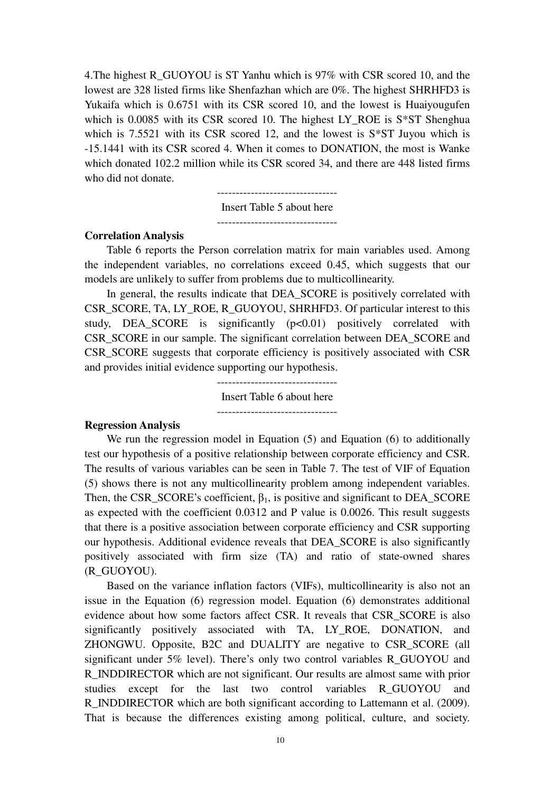4.The highest R\_GUOYOU is ST Yanhu which is 97% with CSR scored 10, and the lowest are 328 listed firms like Shenfazhan which are 0%. The highest SHRHFD3 is Yukaifa which is 0.6751 with its CSR scored 10, and the lowest is Huaiyougufen which is 0.0085 with its CSR scored 10. The highest LY ROE is  $S*ST$  Shenghua which is 7.5521 with its CSR scored 12, and the lowest is S\*ST Juyou which is -15.1441 with its CSR scored 4. When it comes to DONATION, the most is Wanke which donated 102.2 million while its CSR scored 34, and there are 448 listed firms who did not donate.

Insert Table 5 about here

--------------------------------

#### **Correlation Analysis**

Table 6 reports the Person correlation matrix for main variables used. Among the independent variables, no correlations exceed 0.45, which suggests that our models are unlikely to suffer from problems due to multicollinearity.

In general, the results indicate that DEA\_SCORE is positively correlated with CSR\_SCORE, TA, LY\_ROE, R\_GUOYOU, SHRHFD3. Of particular interest to this study, DEA\_SCORE is significantly (p<0.01) positively correlated with CSR\_SCORE in our sample. The significant correlation between DEA\_SCORE and CSR\_SCORE suggests that corporate efficiency is positively associated with CSR and provides initial evidence supporting our hypothesis.

> -------------------------------- Insert Table 6 about here --------------------------------

#### **Regression Analysis**

We run the regression model in Equation (5) and Equation (6) to additionally test our hypothesis of a positive relationship between corporate efficiency and CSR. The results of various variables can be seen in Table 7. The test of VIF of Equation (5) shows there is not any multicollinearity problem among independent variables. Then, the CSR\_SCORE's coefficient,  $\beta_1$ , is positive and significant to DEA\_SCORE as expected with the coefficient 0.0312 and P value is 0.0026. This result suggests that there is a positive association between corporate efficiency and CSR supporting our hypothesis. Additional evidence reveals that DEA\_SCORE is also significantly positively associated with firm size (TA) and ratio of state-owned shares (R\_GUOYOU).

Based on the variance inflation factors (VIFs), multicollinearity is also not an issue in the Equation (6) regression model. Equation (6) demonstrates additional evidence about how some factors affect CSR. It reveals that CSR\_SCORE is also significantly positively associated with TA, LY\_ROE, DONATION, and ZHONGWU. Opposite, B2C and DUALITY are negative to CSR\_SCORE (all significant under 5% level). There's only two control variables R\_GUOYOU and R\_INDDIRECTOR which are not significant. Our results are almost same with prior studies except for the last two control variables R\_GUOYOU and R\_INDDIRECTOR which are both significant according to Lattemann et al. (2009). That is because the differences existing among political, culture, and society.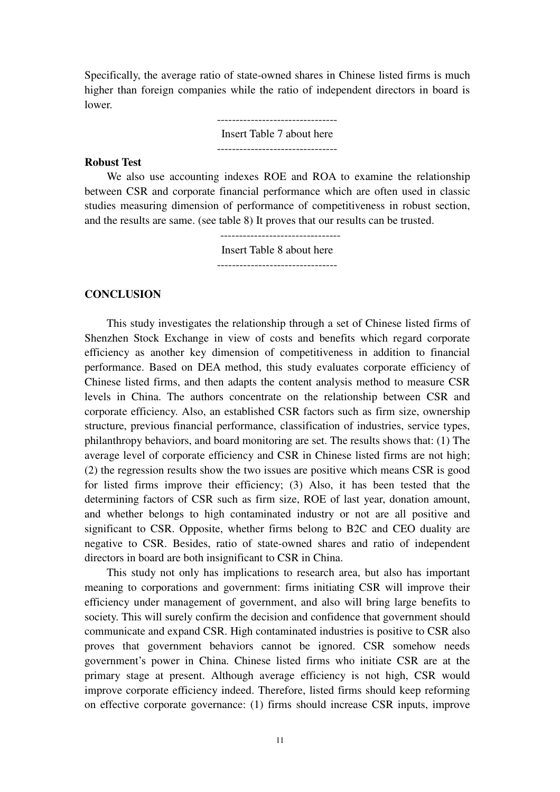Specifically, the average ratio of state-owned shares in Chinese listed firms is much higher than foreign companies while the ratio of independent directors in board is lower.

> -------------------------------- Insert Table 7 about here

--------------------------------

## **Robust Test**

We also use accounting indexes ROE and ROA to examine the relationship between CSR and corporate financial performance which are often used in classic studies measuring dimension of performance of competitiveness in robust section, and the results are same. (see table 8) It proves that our results can be trusted.

> Insert Table 8 about here --------------------------------

## **CONCLUSION**

This study investigates the relationship through a set of Chinese listed firms of Shenzhen Stock Exchange in view of costs and benefits which regard corporate efficiency as another key dimension of competitiveness in addition to financial performance. Based on DEA method, this study evaluates corporate efficiency of Chinese listed firms, and then adapts the content analysis method to measure CSR levels in China. The authors concentrate on the relationship between CSR and corporate efficiency. Also, an established CSR factors such as firm size, ownership structure, previous financial performance, classification of industries, service types, philanthropy behaviors, and board monitoring are set. The results shows that: (1) The average level of corporate efficiency and CSR in Chinese listed firms are not high; (2) the regression results show the two issues are positive which means CSR is good for listed firms improve their efficiency; (3) Also, it has been tested that the determining factors of CSR such as firm size, ROE of last year, donation amount, and whether belongs to high contaminated industry or not are all positive and significant to CSR. Opposite, whether firms belong to B2C and CEO duality are negative to CSR. Besides, ratio of state-owned shares and ratio of independent directors in board are both insignificant to CSR in China.

This study not only has implications to research area, but also has important meaning to corporations and government: firms initiating CSR will improve their efficiency under management of government, and also will bring large benefits to society. This will surely confirm the decision and confidence that government should communicate and expand CSR. High contaminated industries is positive to CSR also proves that government behaviors cannot be ignored. CSR somehow needs government's power in China. Chinese listed firms who initiate CSR are at the primary stage at present. Although average efficiency is not high, CSR would improve corporate efficiency indeed. Therefore, listed firms should keep reforming on effective corporate governance: (1) firms should increase CSR inputs, improve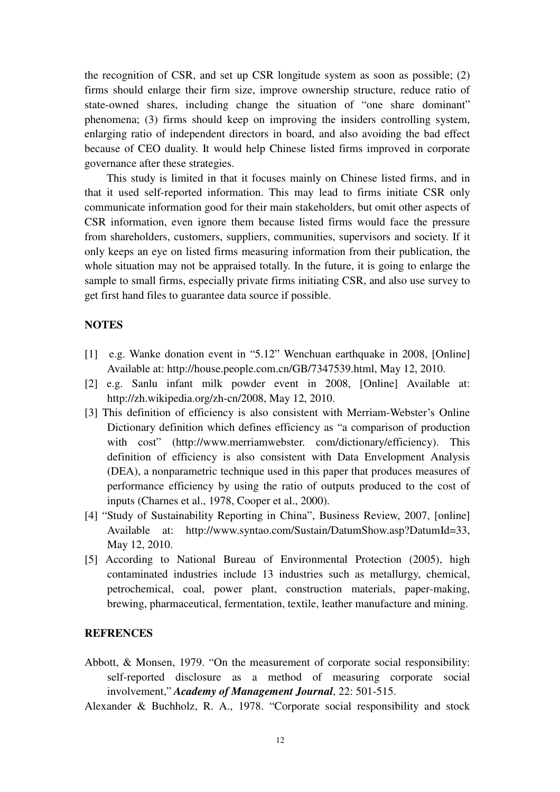the recognition of CSR, and set up CSR longitude system as soon as possible; (2) firms should enlarge their firm size, improve ownership structure, reduce ratio of state-owned shares, including change the situation of "one share dominant" phenomena; (3) firms should keep on improving the insiders controlling system, enlarging ratio of independent directors in board, and also avoiding the bad effect because of CEO duality. It would help Chinese listed firms improved in corporate governance after these strategies.

This study is limited in that it focuses mainly on Chinese listed firms, and in that it used self-reported information. This may lead to firms initiate CSR only communicate information good for their main stakeholders, but omit other aspects of CSR information, even ignore them because listed firms would face the pressure from shareholders, customers, suppliers, communities, supervisors and society. If it only keeps an eye on listed firms measuring information from their publication, the whole situation may not be appraised totally. In the future, it is going to enlarge the sample to small firms, especially private firms initiating CSR, and also use survey to get first hand files to guarantee data source if possible.

# **NOTES**

- [1] e.g. Wanke donation event in "5.12" Wenchuan earthquake in 2008, [Online] Available at: http://house.people.com.cn/GB/7347539.html, May 12, 2010.
- [2] e.g. Sanlu infant milk powder event in 2008, [Online] Available at: http://zh.wikipedia.org/zh-cn/2008, May 12, 2010.
- [3] This definition of efficiency is also consistent with Merriam-Webster's Online Dictionary definition which defines efficiency as "a comparison of production with cost" (http://www.merriamwebster. com/dictionary/efficiency). This definition of efficiency is also consistent with Data Envelopment Analysis (DEA), a nonparametric technique used in this paper that produces measures of performance efficiency by using the ratio of outputs produced to the cost of inputs (Charnes et al., 1978, Cooper et al., 2000).
- [4] "Study of Sustainability Reporting in China", Business Review, 2007, [online] Available at: http://www.syntao.com/Sustain/DatumShow.asp?DatumId=33, May 12, 2010.
- [5] According to National Bureau of Environmental Protection (2005), high contaminated industries include 13 industries such as metallurgy, chemical, petrochemical, coal, power plant, construction materials, paper-making, brewing, pharmaceutical, fermentation, textile, leather manufacture and mining.

# **REFRENCES**

Abbott, & Monsen, 1979. "On the measurement of corporate social responsibility: self-reported disclosure as a method of measuring corporate social involvement," *Academy of Management Journal*, 22: 501-515.

Alexander & Buchholz, R. A., 1978. "Corporate social responsibility and stock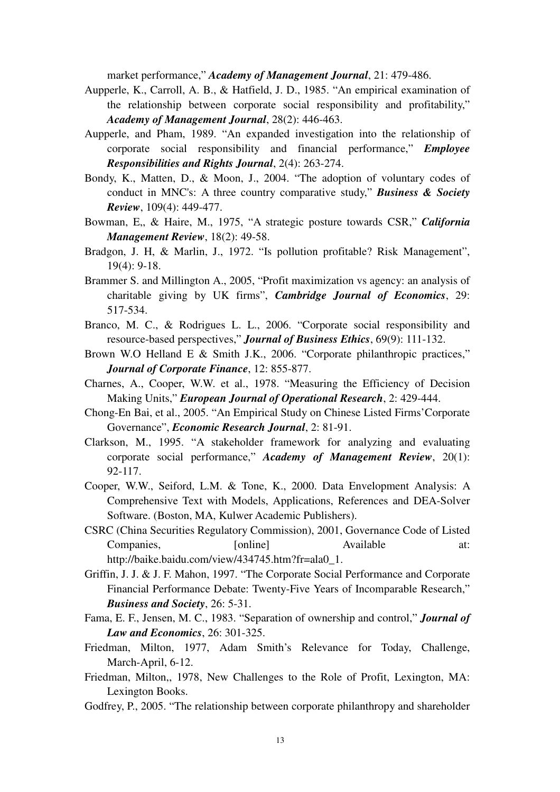market performance," *Academy of Management Journal*, 21: 479-486.

- Aupperle, K., Carroll, A. B., & Hatfield, J. D., 1985. "An empirical examination of the relationship between corporate social responsibility and profitability," *Academy of Management Journal*, 28(2): 446-463.
- Aupperle, and Pham, 1989. "An expanded investigation into the relationship of corporate social responsibility and financial performance," *Employee Responsibilities and Rights Journal*, 2(4): 263-274.
- Bondy, K., Matten, D., & Moon, J., 2004. "The adoption of voluntary codes of conduct in MNC's: A three country comparative study," *Business & Society Review*, 109(4): 449-477.
- Bowman, E,, & Haire, M., 1975, "A strategic posture towards CSR," *California Management Review*, 18(2): 49-58.
- Bradgon, J. H, & Marlin, J., 1972. "Is pollution profitable? Risk Management", 19(4): 9-18.
- Brammer S. and Millington A., 2005, "Profit maximization vs agency: an analysis of charitable giving by UK firms", *Cambridge Journal of Economics*, 29: 517-534.
- Branco, M. C., & Rodrigues L. L., 2006. "Corporate social responsibility and resource-based perspectives," *Journal of Business Ethics*, 69(9): 111-132.
- Brown W.O Helland E & Smith J.K., 2006. "Corporate philanthropic practices," *Journal of Corporate Finance*, 12: 855-877.
- Charnes, A., Cooper, W.W. et al., 1978. "Measuring the Efficiency of Decision Making Units," *European Journal of Operational Research*, 2: 429-444.
- Chong-En Bai, et al., 2005. "An Empirical Study on Chinese Listed Firms'Corporate Governance", *Economic Research Journal*, 2: 81-91.
- Clarkson, M., 1995. "A stakeholder framework for analyzing and evaluating corporate social performance," *Academy of Management Review*, 20(1): 92-117.
- Cooper, W.W., Seiford, L.M. & Tone, K., 2000. Data Envelopment Analysis: A Comprehensive Text with Models, Applications, References and DEA-Solver Software. (Boston, MA, Kulwer Academic Publishers).
- CSRC (China Securities Regulatory Commission), 2001, Governance Code of Listed Companies, [online] Available at: http://baike.baidu.com/view/434745.htm?fr=ala0\_1.
- Griffin, J. J. & J. F. Mahon, 1997. "The Corporate Social Performance and Corporate Financial Performance Debate: Twenty-Five Years of Incomparable Research," *Business and Society*, 26: 5-31.
- Fama, E. F., Jensen, M. C., 1983. "Separation of ownership and control," *Journal of Law and Economics*, 26: 301-325.
- Friedman, Milton, 1977, Adam Smith's Relevance for Today, Challenge, March-April, 6-12.
- Friedman, Milton,, 1978, New Challenges to the Role of Profit, Lexington, MA: Lexington Books.
- Godfrey, P., 2005. "The relationship between corporate philanthropy and shareholder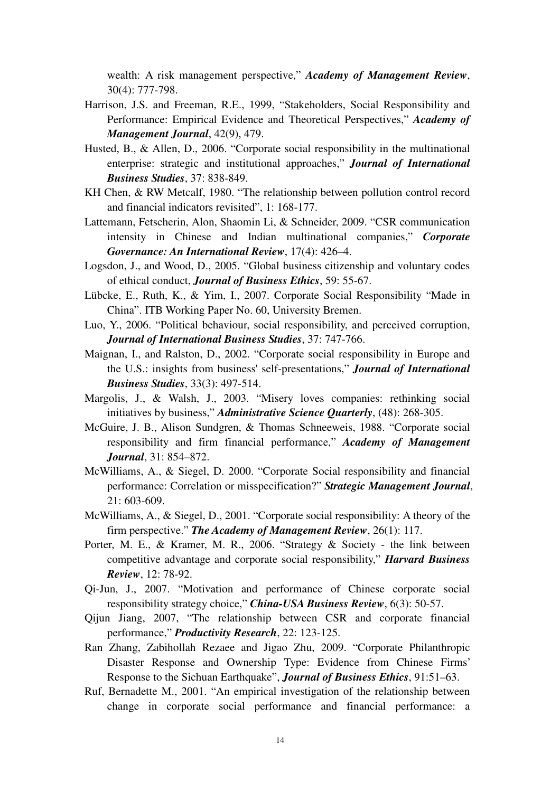wealth: A risk management perspective," *Academy of Management Review*, 30(4): 777-798.

- Harrison, J.S. and Freeman, R.E., 1999, "Stakeholders, Social Responsibility and Performance: Empirical Evidence and Theoretical Perspectives," *Academy of Management Journal*, 42(9), 479.
- Husted, B., & Allen, D., 2006. "Corporate social responsibility in the multinational enterprise: strategic and institutional approaches," *Journal of International Business Studies*, 37: 838-849.
- KH Chen, & RW Metcalf, 1980. "The relationship between pollution control record and financial indicators revisited", 1: 168-177.
- Lattemann, Fetscherin, Alon, Shaomin Li, & Schneider, 2009. "CSR communication intensity in Chinese and Indian multinational companies," *Corporate Governance: An International Review*, 17(4): 426–4.
- Logsdon, J., and Wood, D., 2005. "Global business citizenship and voluntary codes of ethical conduct, *Journal of Business Ethics*, 59: 55-67.
- Lübcke, E., Ruth, K., & Yim, I., 2007. Corporate Social Responsibility "Made in China". ITB Working Paper No. 60, University Bremen.
- Luo, Y., 2006. "Political behaviour, social responsibility, and perceived corruption, *Journal of International Business Studies*, 37: 747-766.
- Maignan, I., and Ralston, D., 2002. "Corporate social responsibility in Europe and the U.S.: insights from business' self-presentations," *Journal of International Business Studies*, 33(3): 497-514.
- Margolis, J., & Walsh, J., 2003. "Misery loves companies: rethinking social initiatives by business," *Administrative Science Quarterly*, (48): 268-305.
- McGuire, J. B., Alison Sundgren, & Thomas Schneeweis, 1988. "Corporate social responsibility and firm financial performance," *Academy of Management Journal*, 31: 854–872.
- McWilliams, A., & Siegel, D. 2000. "Corporate Social responsibility and financial performance: Correlation or misspecification?" *Strategic Management Journal*, 21: 603-609.
- McWilliams, A., & Siegel, D., 2001. "Corporate social responsibility: A theory of the firm perspective." *The Academy of Management Review*, 26(1): 117.
- Porter, M. E., & Kramer, M. R., 2006. "Strategy & Society the link between competitive advantage and corporate social responsibility," *Harvard Business Review*, 12: 78-92.
- Qi-Jun, J., 2007. "Motivation and performance of Chinese corporate social responsibility strategy choice," *China-USA Business Review*, 6(3): 50-57.
- Qijun Jiang, 2007, "The relationship between CSR and corporate financial performance," *Productivity Research*, 22: 123-125.
- Ran Zhang, Zabihollah Rezaee and Jigao Zhu, 2009. "Corporate Philanthropic Disaster Response and Ownership Type: Evidence from Chinese Firms' Response to the Sichuan Earthquake", *Journal of Business Ethics*, 91:51–63.
- Ruf, Bernadette M., 2001. "An empirical investigation of the relationship between change in corporate social performance and financial performance: a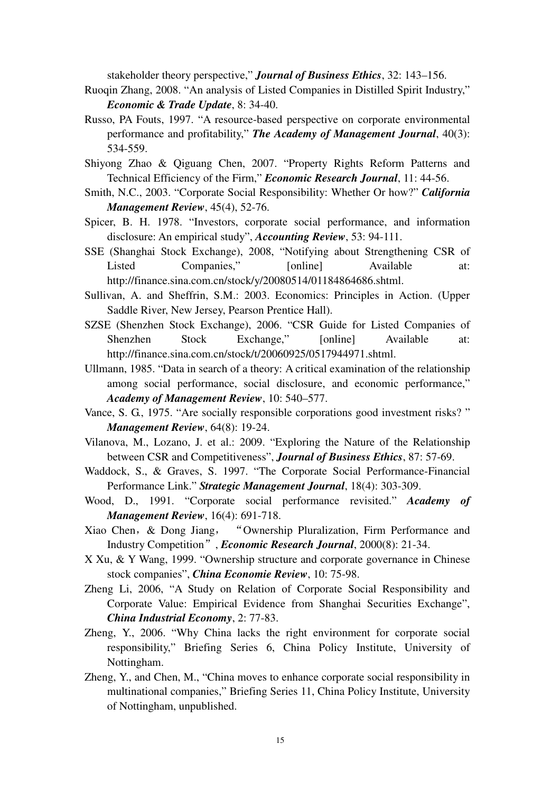stakeholder theory perspective," *Journal of Business Ethics*, 32: 143–156.

- Ruoqin Zhang, 2008. "An analysis of Listed Companies in Distilled Spirit Industry," *Economic & Trade Update*, 8: 34-40.
- Russo, PA Fouts, 1997. "A resource-based perspective on corporate environmental performance and profitability," *The Academy of Management Journal*, 40(3): 534-559.
- Shiyong Zhao & Qiguang Chen, 2007. "Property Rights Reform Patterns and Technical Efficiency of the Firm," *Economic Research Journal*, 11: 44-56.
- Smith, N.C., 2003. "Corporate Social Responsibility: Whether Or how?" *California Management Review*, 45(4), 52-76.
- Spicer, B. H. 1978. "Investors, corporate social performance, and information disclosure: An empirical study", *Accounting Review*, 53: 94-111.
- SSE (Shanghai Stock Exchange), 2008, "Notifying about Strengthening CSR of Listed Companies." [online] Available at: http://finance.sina.com.cn/stock/y/20080514/01184864686.shtml.
- Sullivan, A. and Sheffrin, S.M.: 2003. Economics: Principles in Action. (Upper Saddle River, New Jersey, Pearson Prentice Hall).
- SZSE (Shenzhen Stock Exchange), 2006. "CSR Guide for Listed Companies of Shenzhen Stock Exchange," [online] Available at: http://finance.sina.com.cn/stock/t/20060925/0517944971.shtml.
- Ullmann, 1985. "Data in search of a theory: A critical examination of the relationship among social performance, social disclosure, and economic performance," *Academy of Management Review*, 10: 540–577.
- Vance, S. G., 1975. "Are socially responsible corporations good investment risks? " *Management Review*, 64(8): 19-24.
- Vilanova, M., Lozano, J. et al.: 2009. "Exploring the Nature of the Relationship between CSR and Competitiveness", *Journal of Business Ethics*, 87: 57-69.
- Waddock, S., & Graves, S. 1997. "The Corporate Social Performance-Financial Performance Link." *Strategic Management Journal*, 18(4): 303-309.
- Wood, D., 1991. "Corporate social performance revisited." *Academy of Management Review*, 16(4): 691-718.
- Xiao Chen,& Dong Jiang, "Ownership Pluralization, Firm Performance and Industry Competition", *Economic Research Journal*, 2000(8): 21-34.
- X Xu, & Y Wang, 1999. "Ownership structure and corporate governance in Chinese stock companies", *China Economie Review*, 10: 75-98.
- Zheng Li, 2006, "A Study on Relation of Corporate Social Responsibility and Corporate Value: Empirical Evidence from Shanghai Securities Exchange", *China Industrial Economy*, 2: 77-83.
- Zheng, Y., 2006. "Why China lacks the right environment for corporate social responsibility," Briefing Series 6, China Policy Institute, University of Nottingham.
- Zheng, Y., and Chen, M., "China moves to enhance corporate social responsibility in multinational companies," Briefing Series 11, China Policy Institute, University of Nottingham, unpublished.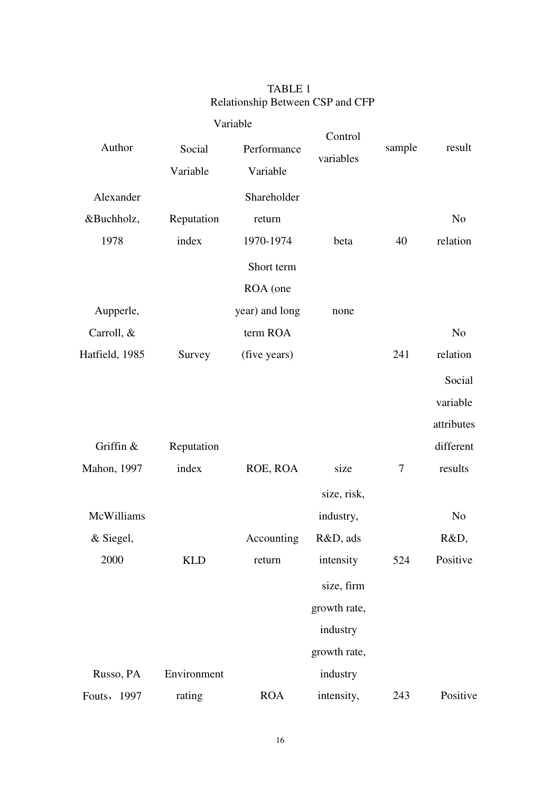# TABLE 1 Relationship Between CSP and CFP

| Author         | Social      | Performance    | Control<br>variables | sample | result         |
|----------------|-------------|----------------|----------------------|--------|----------------|
|                | Variable    | Variable       |                      |        |                |
| Alexander      |             | Shareholder    |                      |        |                |
| &Buchholz,     | Reputation  | return         |                      |        | N <sub>o</sub> |
| 1978           | index       | 1970-1974      | beta                 | 40     | relation       |
|                |             | Short term     |                      |        |                |
|                |             | ROA (one       |                      |        |                |
| Aupperle,      |             | year) and long | none                 |        |                |
| Carroll, &     |             | term ROA       |                      |        | N <sub>o</sub> |
| Hatfield, 1985 | Survey      | (five years)   |                      | 241    | relation       |
|                |             |                |                      |        | Social         |
|                |             |                |                      |        | variable       |
|                |             |                |                      |        | attributes     |
| Griffin &      | Reputation  |                |                      |        | different      |
| Mahon, 1997    | index       | ROE, ROA       | size                 | 7      | results        |
|                |             |                | size, risk,          |        |                |
| McWilliams     |             |                | industry,            |        | N <sub>o</sub> |
| & Siegel,      |             | Accounting     | R&D, ads             |        | R&D,           |
| 2000           | <b>KLD</b>  | return         | intensity            | 524    | Positive       |
|                |             |                | size, firm           |        |                |
|                |             |                | growth rate,         |        |                |
|                |             |                | industry             |        |                |
|                |             |                | growth rate,         |        |                |
| Russo, PA      | Environment |                | industry             |        |                |
| Fouts, 1997    | rating      | <b>ROA</b>     | intensity,           | 243    | Positive       |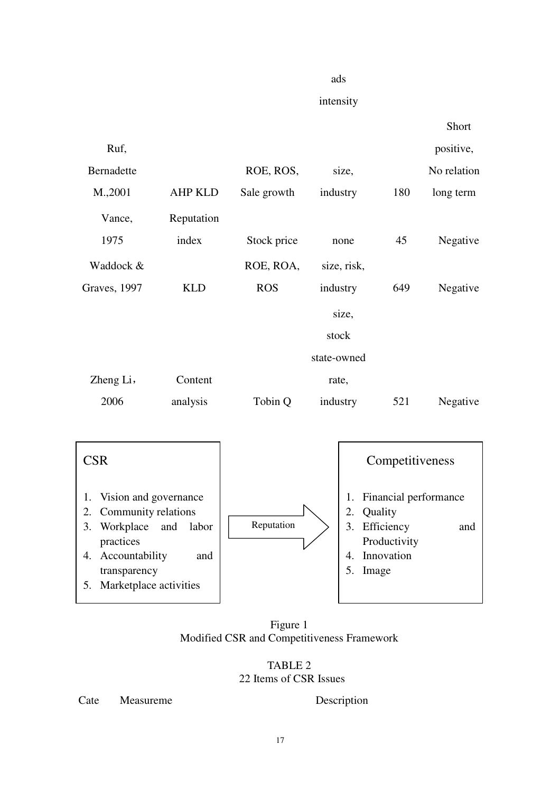#### ads

intensity



5. Marketplace activities

Figure 1 Modified CSR and Competitiveness Framework

TABLE 2 22 Items of CSR Issues

Cate Measureme Description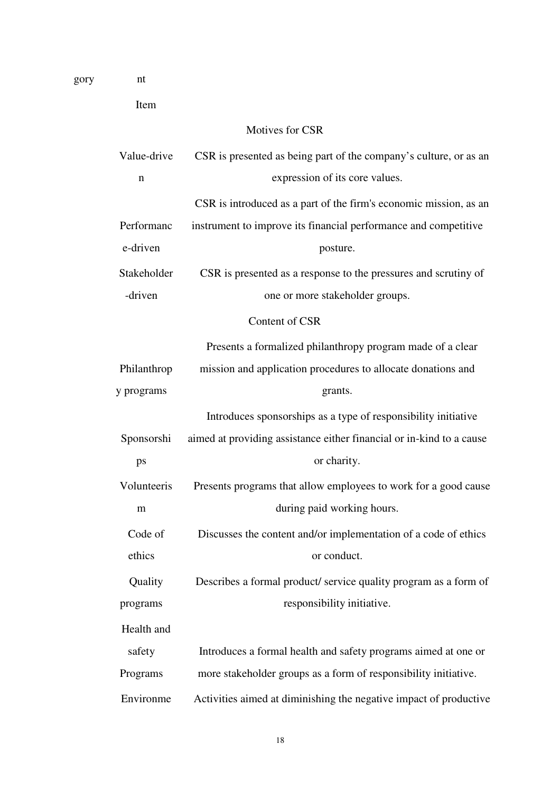| Item        |                                                                      |
|-------------|----------------------------------------------------------------------|
|             | Motives for CSR                                                      |
| Value-drive | CSR is presented as being part of the company's culture, or as an    |
| $\mathbf n$ | expression of its core values.                                       |
|             | CSR is introduced as a part of the firm's economic mission, as an    |
| Performanc  | instrument to improve its financial performance and competitive      |
| e-driven    | posture.                                                             |
| Stakeholder | CSR is presented as a response to the pressures and scrutiny of      |
| -driven     | one or more stakeholder groups.                                      |
|             | Content of CSR                                                       |
|             | Presents a formalized philanthropy program made of a clear           |
| Philanthrop | mission and application procedures to allocate donations and         |
| y programs  | grants.                                                              |
|             | Introduces sponsorships as a type of responsibility initiative       |
| Sponsorshi  | aimed at providing assistance either financial or in-kind to a cause |
| ps          | or charity.                                                          |
| Volunteeris | Presents programs that allow employees to work for a good cause      |
| m           | during paid working hours.                                           |
| Code of     | Discusses the content and/or implementation of a code of ethics      |
| ethics      | or conduct.                                                          |
| Quality     | Describes a formal product/service quality program as a form of      |
| programs    | responsibility initiative.                                           |
| Health and  |                                                                      |
| safety      | Introduces a formal health and safety programs aimed at one or       |
| Programs    | more stakeholder groups as a form of responsibility initiative.      |
| Environme   | Activities aimed at diminishing the negative impact of productive    |

gory nt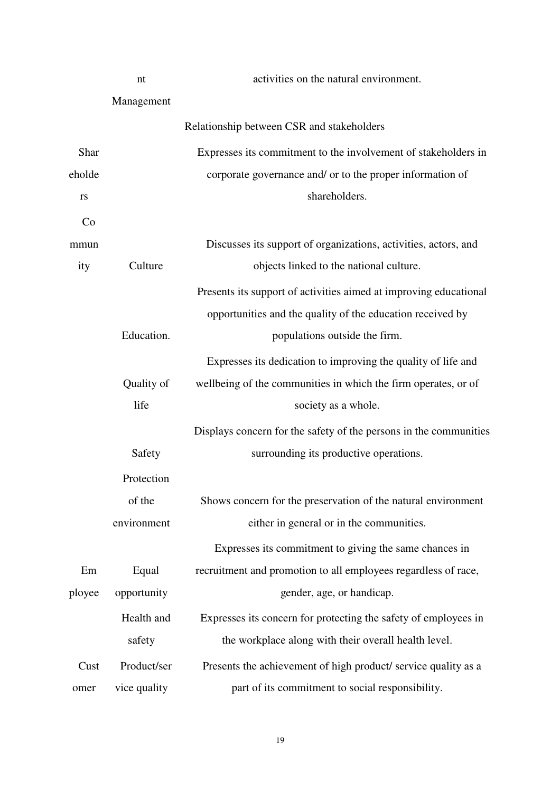|        | nt           | activities on the natural environment.                            |
|--------|--------------|-------------------------------------------------------------------|
|        | Management   |                                                                   |
|        |              | Relationship between CSR and stakeholders                         |
| Shar   |              | Expresses its commitment to the involvement of stakeholders in    |
| eholde |              | corporate governance and/ or to the proper information of         |
| rs     |              | shareholders.                                                     |
| Co     |              |                                                                   |
| mmun   |              | Discusses its support of organizations, activities, actors, and   |
| ity    | Culture      | objects linked to the national culture.                           |
|        |              | Presents its support of activities aimed at improving educational |
|        |              | opportunities and the quality of the education received by        |
|        | Education.   | populations outside the firm.                                     |
|        |              | Expresses its dedication to improving the quality of life and     |
|        | Quality of   | wellbeing of the communities in which the firm operates, or of    |
|        | life         | society as a whole.                                               |
|        |              | Displays concern for the safety of the persons in the communities |
|        | Safety       | surrounding its productive operations.                            |
|        | Protection   |                                                                   |
|        | of the       | Shows concern for the preservation of the natural environment     |
|        | environment  | either in general or in the communities.                          |
|        |              | Expresses its commitment to giving the same chances in            |
| Em     | Equal        | recruitment and promotion to all employees regardless of race,    |
| ployee | opportunity  | gender, age, or handicap.                                         |
|        | Health and   | Expresses its concern for protecting the safety of employees in   |
|        | safety       | the workplace along with their overall health level.              |
| Cust   | Product/ser  | Presents the achievement of high product/service quality as a     |
| omer   | vice quality | part of its commitment to social responsibility.                  |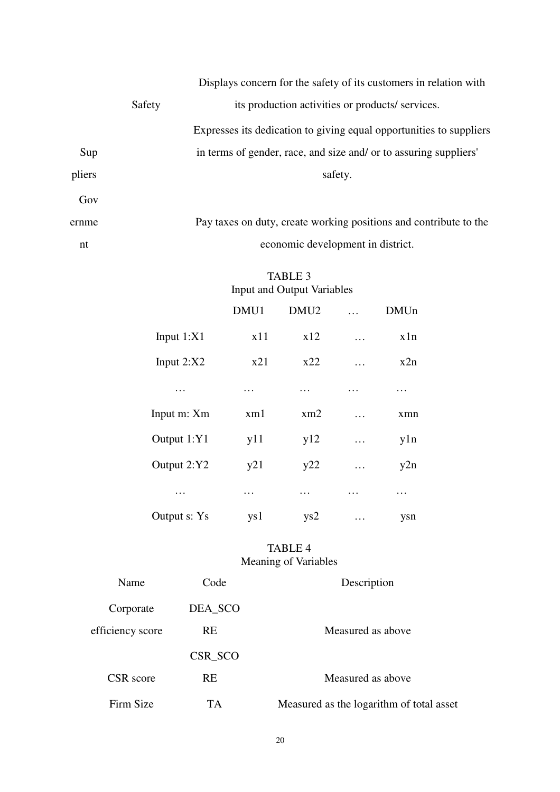|        |        | Displays concern for the safety of its customers in relation with   |
|--------|--------|---------------------------------------------------------------------|
|        | Safety | its production activities or products/ services.                    |
|        |        | Expresses its dedication to giving equal opportunities to suppliers |
| Sup    |        | in terms of gender, race, and size and/ or to assuring suppliers'   |
| pliers |        | safety.                                                             |
| Gov    |        |                                                                     |
| ernme  |        | Pay taxes on duty, create working positions and contribute to the   |
| nt     |        | economic development in district.                                   |

# TABLE 3 Input and Output Variables

|              | DMU1            | DMU <sub>2</sub> |   | <b>DMUn</b> |
|--------------|-----------------|------------------|---|-------------|
| Input $1:XI$ | x11             | x12              | . | x1n         |
| Input $2:X2$ | x21             | x22              | . | x2n         |
| .            | .               | .                | . | .           |
| Input m: Xm  | x <sub>m1</sub> | xm2              | . | xmn         |
| Output 1:Y1  | y11             | y12              | . | y1n         |
| Output 2:Y2  | y21             | y22              | . | y2n         |
| .            | .               | .                | . | .           |
| Output s: Ys | ys1             | ys2              | . | ysn         |

# TABLE 4 Meaning of Variables

| Name             | Code      | Description                              |
|------------------|-----------|------------------------------------------|
| Corporate        | DEA_SCO   |                                          |
| efficiency score | <b>RE</b> | Measured as above                        |
|                  | CSR SCO   |                                          |
| CSR score        | <b>RE</b> | Measured as above                        |
| Firm Size        | TА        | Measured as the logarithm of total asset |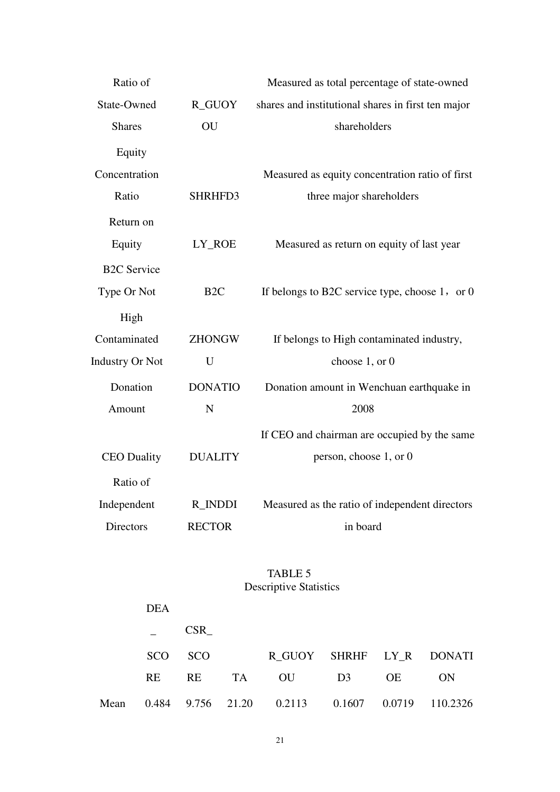| Ratio of               |                 | Measured as total percentage of state-owned         |
|------------------------|-----------------|-----------------------------------------------------|
| State-Owned            | R_GUOY          | shares and institutional shares in first ten major  |
| <b>Shares</b>          | OU              | shareholders                                        |
| Equity                 |                 |                                                     |
| Concentration          |                 | Measured as equity concentration ratio of first     |
| Ratio                  | SHRHFD3         | three major shareholders                            |
| Return on              |                 |                                                     |
| Equity                 | LY_ROE          | Measured as return on equity of last year           |
| <b>B2C</b> Service     |                 |                                                     |
| Type Or Not            | B <sub>2C</sub> | If belongs to B2C service type, choose $1$ , or $0$ |
| High                   |                 |                                                     |
| Contaminated           | <b>ZHONGW</b>   | If belongs to High contaminated industry,           |
| <b>Industry Or Not</b> | U               | choose 1, or 0                                      |
| Donation               | <b>DONATIO</b>  | Donation amount in Wenchuan earthquake in           |
| Amount                 | N               | 2008                                                |
|                        |                 | If CEO and chairman are occupied by the same        |
| <b>CEO</b> Duality     | <b>DUALITY</b>  | person, choose 1, or 0                              |
| Ratio of               |                 |                                                     |
| Independent            | <b>R_INDDI</b>  | Measured as the ratio of independent directors      |
| <b>Directors</b>       | <b>RECTOR</b>   | in board                                            |

# TABLE 5 Descriptive Statistics

|      | <b>DEA</b> |            |                                                 |    |    |           |
|------|------------|------------|-------------------------------------------------|----|----|-----------|
|      |            | <b>CSR</b> |                                                 |    |    |           |
|      |            | SCO SCO    | R GUOY SHRHF LY R DONATI                        |    |    |           |
|      | RE.        | <b>RE</b>  | TA OU                                           | D3 | OE | <b>ON</b> |
| Mean |            |            | 0.484 9.756 21.20 0.2113 0.1607 0.0719 110.2326 |    |    |           |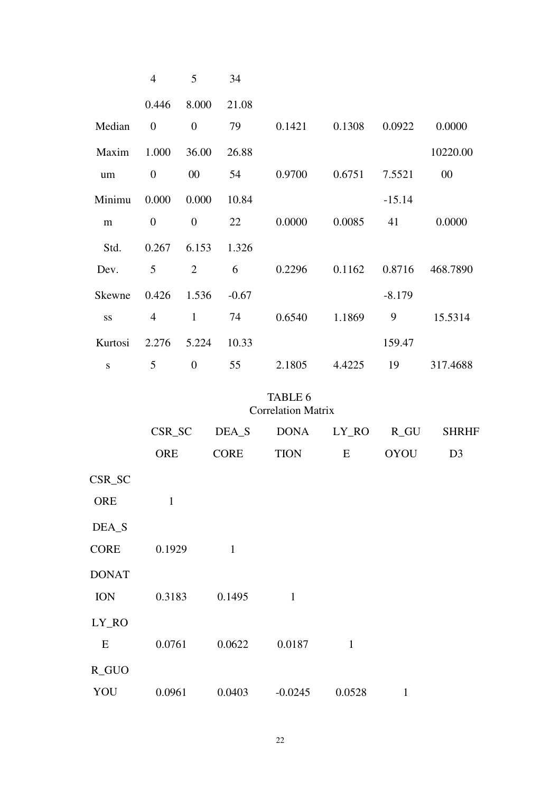|           | $\overline{4}$   | 5                | 34      |        |        |          |          |
|-----------|------------------|------------------|---------|--------|--------|----------|----------|
|           | 0.446            | 8.000            | 21.08   |        |        |          |          |
| Median    | $\boldsymbol{0}$ | $\boldsymbol{0}$ | 79      | 0.1421 | 0.1308 | 0.0922   | 0.0000   |
| Maxim     | 1.000            | 36.00            | 26.88   |        |        |          | 10220.00 |
| $\rm um$  | $\boldsymbol{0}$ | 00               | 54      | 0.9700 | 0.6751 | 7.5521   | $00\,$   |
| Minimu    | 0.000            | 0.000            | 10.84   |        |        | $-15.14$ |          |
| m         | $\overline{0}$   | $\boldsymbol{0}$ | 22      | 0.0000 | 0.0085 | 41       | 0.0000   |
| Std.      | 0.267            | 6.153            | 1.326   |        |        |          |          |
| Dev.      | 5                | $\overline{2}$   | 6       | 0.2296 | 0.1162 | 0.8716   | 468.7890 |
| Skewne    | 0.426            | 1.536            | $-0.67$ |        |        | $-8.179$ |          |
| SS        | 4                | $\mathbf{1}$     | 74      | 0.6540 | 1.1869 | 9        | 15.5314  |
| Kurtosi   | 2.276            | 5.224            | 10.33   |        |        | 159.47   |          |
| ${\bf S}$ | 5                | $\overline{0}$   | 55      | 2.1805 | 4.4225 | 19       | 317.4688 |

TABLE 6 Correlation Matrix

|              | CSR_SC       | DEA_S        | <b>DONA</b>  | LY_RO        | $R_GU$      | <b>SHRHF</b>   |
|--------------|--------------|--------------|--------------|--------------|-------------|----------------|
|              | <b>ORE</b>   | <b>CORE</b>  | <b>TION</b>  | E            | <b>OYOU</b> | D <sub>3</sub> |
| CSR_SC       |              |              |              |              |             |                |
| <b>ORE</b>   | $\mathbf{1}$ |              |              |              |             |                |
| DEA_S        |              |              |              |              |             |                |
| <b>CORE</b>  | 0.1929       | $\mathbf{1}$ |              |              |             |                |
| <b>DONAT</b> |              |              |              |              |             |                |
| <b>ION</b>   | 0.3183       | 0.1495       | $\mathbf{1}$ |              |             |                |
| LY_RO        |              |              |              |              |             |                |
| E            | 0.0761       | 0.0622       | 0.0187       | $\mathbf{1}$ |             |                |
| R_GUO        |              |              |              |              |             |                |
| YOU          | 0.0961       | 0.0403       | $-0.0245$    | 0.0528       | 1           |                |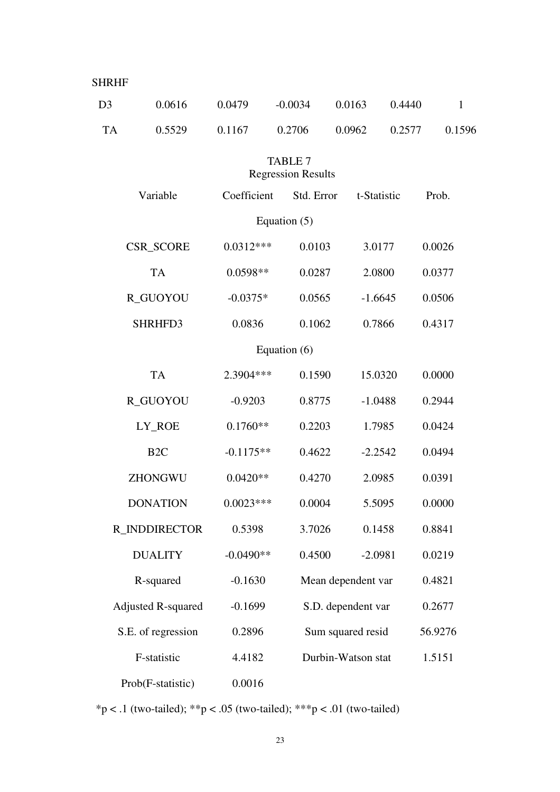| <b>SHRHF</b>   |                           |             |                                             |                    |             |              |  |
|----------------|---------------------------|-------------|---------------------------------------------|--------------------|-------------|--------------|--|
| D <sub>3</sub> | 0.0616                    | 0.0479      | $-0.0034$                                   | 0.0163             | 0.4440      | $\mathbf{1}$ |  |
| <b>TA</b>      | 0.5529                    | 0.1167      | 0.2706                                      | 0.0962             | 0.2577      | 0.1596       |  |
|                |                           |             | <b>TABLE 7</b><br><b>Regression Results</b> |                    |             |              |  |
|                | Variable                  | Coefficient | Std. Error                                  |                    | t-Statistic | Prob.        |  |
|                |                           |             | Equation $(5)$                              |                    |             |              |  |
|                | <b>CSR_SCORE</b>          | $0.0312***$ | 0.0103                                      |                    | 3.0177      | 0.0026       |  |
|                | <b>TA</b>                 | $0.0598**$  | 0.0287                                      |                    | 2.0800      | 0.0377       |  |
|                | R_GUOYOU                  | $-0.0375*$  | 0.0565                                      |                    | $-1.6645$   | 0.0506       |  |
|                | SHRHFD3                   | 0.0836      | 0.1062                                      |                    | 0.7866      | 0.4317       |  |
| Equation (6)   |                           |             |                                             |                    |             |              |  |
|                | <b>TA</b>                 | 2.3904 ***  | 0.1590                                      |                    | 15.0320     | 0.0000       |  |
|                | R_GUOYOU                  | $-0.9203$   | 0.8775                                      |                    | $-1.0488$   | 0.2944       |  |
|                | LY_ROE                    | $0.1760**$  | 0.2203                                      |                    | 1.7985      | 0.0424       |  |
|                | B <sub>2C</sub>           | $-0.1175**$ | 0.4622                                      |                    | $-2.2542$   | 0.0494       |  |
|                | ZHONGWU                   | $0.0420**$  | 0.4270                                      |                    | 2.0985      | 0.0391       |  |
|                | <b>DONATION</b>           | $0.0023***$ | 0.0004                                      |                    | 5.5095      | 0.0000       |  |
|                | R INDDIRECTOR             | 0.5398      | 3.7026                                      |                    | 0.1458      | 0.8841       |  |
|                | <b>DUALITY</b>            | $-0.0490**$ | 0.4500                                      |                    | $-2.0981$   | 0.0219       |  |
|                | R-squared                 | $-0.1630$   |                                             | Mean dependent var |             | 0.4821       |  |
|                | <b>Adjusted R-squared</b> | $-0.1699$   |                                             | S.D. dependent var |             | 0.2677       |  |
|                | S.E. of regression        | 0.2896      |                                             | Sum squared resid  |             | 56.9276      |  |
|                | F-statistic               | 4.4182      |                                             | Durbin-Watson stat |             | 1.5151       |  |
|                | Prob(F-statistic)         | 0.0016      |                                             |                    |             |              |  |

\*p < .1 (two-tailed); \*\*p < .05 (two-tailed); \*\*\*p < .01 (two-tailed)